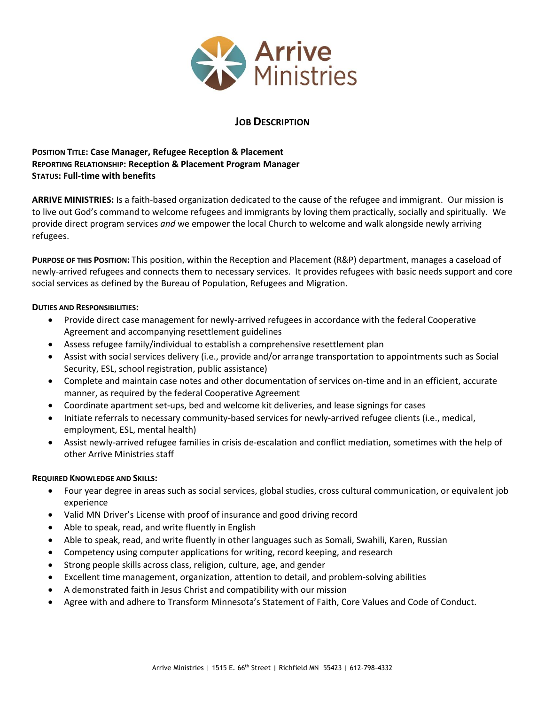

# **JOB DESCRIPTION**

**POSITION TITLE: Case Manager, Refugee Reception & Placement REPORTING RELATIONSHIP: Reception & Placement Program Manager STATUS: Full-time with benefits**

**ARRIVE MINISTRIES:** Is a faith-based organization dedicated to the cause of the refugee and immigrant. Our mission is to live out God's command to welcome refugees and immigrants by loving them practically, socially and spiritually. We provide direct program services *and* we empower the local Church to welcome and walk alongside newly arriving refugees.

**PURPOSE OF THIS POSITION:** This position, within the Reception and Placement (R&P) department, manages a caseload of newly-arrived refugees and connects them to necessary services. It provides refugees with basic needs support and core social services as defined by the Bureau of Population, Refugees and Migration.

## **DUTIES AND RESPONSIBILITIES:**

- Provide direct case management for newly-arrived refugees in accordance with the federal Cooperative Agreement and accompanying resettlement guidelines
- Assess refugee family/individual to establish a comprehensive resettlement plan
- Assist with social services delivery (i.e., provide and/or arrange transportation to appointments such as Social Security, ESL, school registration, public assistance)
- Complete and maintain case notes and other documentation of services on-time and in an efficient, accurate manner, as required by the federal Cooperative Agreement
- Coordinate apartment set-ups, bed and welcome kit deliveries, and lease signings for cases
- Initiate referrals to necessary community-based services for newly-arrived refugee clients (i.e., medical, employment, ESL, mental health)
- Assist newly-arrived refugee families in crisis de-escalation and conflict mediation, sometimes with the help of other Arrive Ministries staff

## **REQUIRED KNOWLEDGE AND SKILLS:**

- Four year degree in areas such as social services, global studies, cross cultural communication, or equivalent job experience
- Valid MN Driver's License with proof of insurance and good driving record
- Able to speak, read, and write fluently in English
- Able to speak, read, and write fluently in other languages such as Somali, Swahili, Karen, Russian
- Competency using computer applications for writing, record keeping, and research
- Strong people skills across class, religion, culture, age, and gender
- Excellent time management, organization, attention to detail, and problem-solving abilities
- A demonstrated faith in Jesus Christ and compatibility with our mission
- Agree with and adhere to Transform Minnesota's Statement of Faith, Core Values and Code of Conduct.